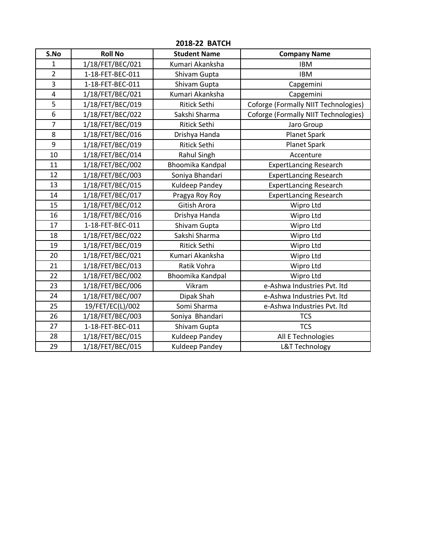| S.No           | <b>Roll No</b>   | <b>Student Name</b>   | <b>Company Name</b>                  |
|----------------|------------------|-----------------------|--------------------------------------|
| 1              | 1/18/FET/BEC/021 | Kumari Akanksha       | <b>IBM</b>                           |
| $\overline{2}$ | 1-18-FET-BEC-011 | Shivam Gupta          | <b>IBM</b>                           |
| 3              | 1-18-FET-BEC-011 | Shivam Gupta          | Capgemini                            |
| $\pmb{4}$      | 1/18/FET/BEC/021 | Kumari Akanksha       | Capgemini                            |
| 5              | 1/18/FET/BEC/019 | Ritick Sethi          | Coforge (Formally NIIT Technologies) |
| 6              | 1/18/FET/BEC/022 | Sakshi Sharma         | Coforge (Formally NIIT Technologies) |
| $\overline{7}$ | 1/18/FET/BEC/019 | <b>Ritick Sethi</b>   | Jaro Group                           |
| 8              | 1/18/FET/BEC/016 | Drishya Handa         | Planet Spark                         |
| $\mathsf g$    | 1/18/FET/BEC/019 | <b>Ritick Sethi</b>   | Planet Spark                         |
| 10             | 1/18/FET/BEC/014 | Rahul Singh           | Accenture                            |
| 11             | 1/18/FET/BEC/002 | Bhoomika Kandpal      | <b>ExpertLancing Research</b>        |
| 12             | 1/18/FET/BEC/003 | Soniya Bhandari       | <b>ExpertLancing Research</b>        |
| 13             | 1/18/FET/BEC/015 | Kuldeep Pandey        | <b>ExpertLancing Research</b>        |
| 14             | 1/18/FET/BEC/017 | Pragya Roy Roy        | <b>ExpertLancing Research</b>        |
| 15             | 1/18/FET/BEC/012 | Gitish Arora          | Wipro Ltd                            |
| 16             | 1/18/FET/BEC/016 | Drishya Handa         | Wipro Ltd                            |
| 17             | 1-18-FET-BEC-011 | Shivam Gupta          | Wipro Ltd                            |
| 18             | 1/18/FET/BEC/022 | Sakshi Sharma         | Wipro Ltd                            |
| 19             | 1/18/FET/BEC/019 | <b>Ritick Sethi</b>   | Wipro Ltd                            |
| 20             | 1/18/FET/BEC/021 | Kumari Akanksha       | Wipro Ltd                            |
| 21             | 1/18/FET/BEC/013 | Ratik Vohra           | Wipro Ltd                            |
| 22             | 1/18/FET/BEC/002 | Bhoomika Kandpal      | Wipro Ltd                            |
| 23             | 1/18/FET/BEC/006 | Vikram                | e-Ashwa Industries Pvt. ltd          |
| 24             | 1/18/FET/BEC/007 | Dipak Shah            | e-Ashwa Industries Pvt. Itd          |
| 25             | 19/FET/EC(L)/002 | Somi Sharma           | e-Ashwa Industries Pvt. Itd          |
| 26             | 1/18/FET/BEC/003 | Soniya Bhandari       | <b>TCS</b>                           |
| 27             | 1-18-FET-BEC-011 | Shivam Gupta          | <b>TCS</b>                           |
| 28             | 1/18/FET/BEC/015 | Kuldeep Pandey        | All E Technologies                   |
| 29             | 1/18/FET/BEC/015 | <b>Kuldeep Pandey</b> | <b>L&amp;T Technology</b>            |

## **2018-22 BATCH**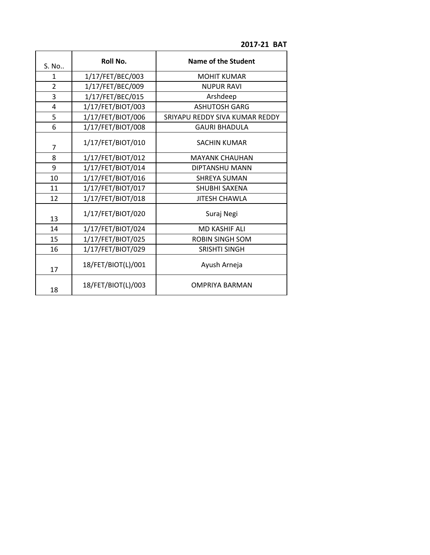**2017-21 BAT** 

| S. No          | Roll No.           | <b>Name of the Student</b>     |
|----------------|--------------------|--------------------------------|
| 1              | 1/17/FET/BEC/003   | <b>MOHIT KUMAR</b>             |
| $\overline{2}$ | 1/17/FET/BEC/009   | <b>NUPUR RAVI</b>              |
| 3              | 1/17/FET/BEC/015   | Arshdeep                       |
| 4              | 1/17/FET/BIOT/003  | <b>ASHUTOSH GARG</b>           |
| 5              | 1/17/FET/BIOT/006  | SRIYAPU REDDY SIVA KUMAR REDDY |
| 6              | 1/17/FET/BIOT/008  | <b>GAURI BHADULA</b>           |
| $\overline{7}$ | 1/17/FET/BIOT/010  | <b>SACHIN KUMAR</b>            |
| 8              | 1/17/FET/BIOT/012  | <b>MAYANK CHAUHAN</b>          |
| 9              | 1/17/FET/BIOT/014  | DIPTANSHU MANN                 |
| 10             | 1/17/FET/BIOT/016  | <b>SHREYA SUMAN</b>            |
| 11             | 1/17/FET/BIOT/017  | <b>SHUBHI SAXENA</b>           |
| 12             | 1/17/FET/BIOT/018  | <b>JITESH CHAWLA</b>           |
| 13             | 1/17/FET/BIOT/020  | Suraj Negi                     |
| 14             | 1/17/FET/BIOT/024  | <b>MD KASHIF ALI</b>           |
| 15             | 1/17/FET/BIOT/025  | <b>ROBIN SINGH SOM</b>         |
| 16             | 1/17/FET/BIOT/029  | <b>SRISHTI SINGH</b>           |
| 17             | 18/FET/BIOT(L)/001 | Ayush Arneja                   |
| 18             | 18/FET/BIOT(L)/003 | <b>OMPRIYA BARMAN</b>          |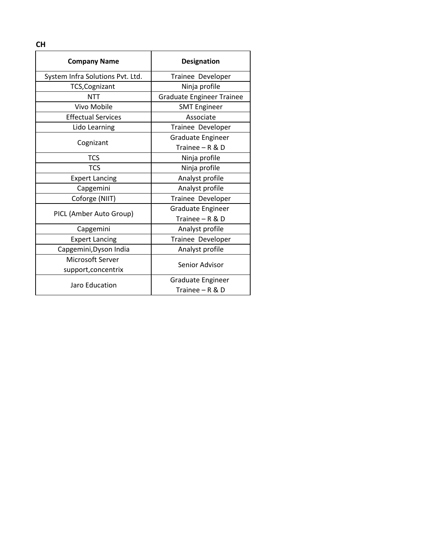| <b>Designation</b>               |  |
|----------------------------------|--|
| Trainee Developer                |  |
| Ninja profile                    |  |
| <b>Graduate Engineer Trainee</b> |  |
| <b>SMT Engineer</b>              |  |
| Associate                        |  |
| Trainee Developer                |  |
| Graduate Engineer                |  |
| Trainee - R & D                  |  |
| Ninja profile                    |  |
| Ninja profile                    |  |
| Analyst profile                  |  |
| Analyst profile                  |  |
| Trainee Developer                |  |
| Graduate Engineer                |  |
| Trainee - R & D                  |  |
| Analyst profile                  |  |
| Trainee Developer                |  |
| Analyst profile                  |  |
| Senior Advisor                   |  |
|                                  |  |
| Trainee - R & D                  |  |
|                                  |  |